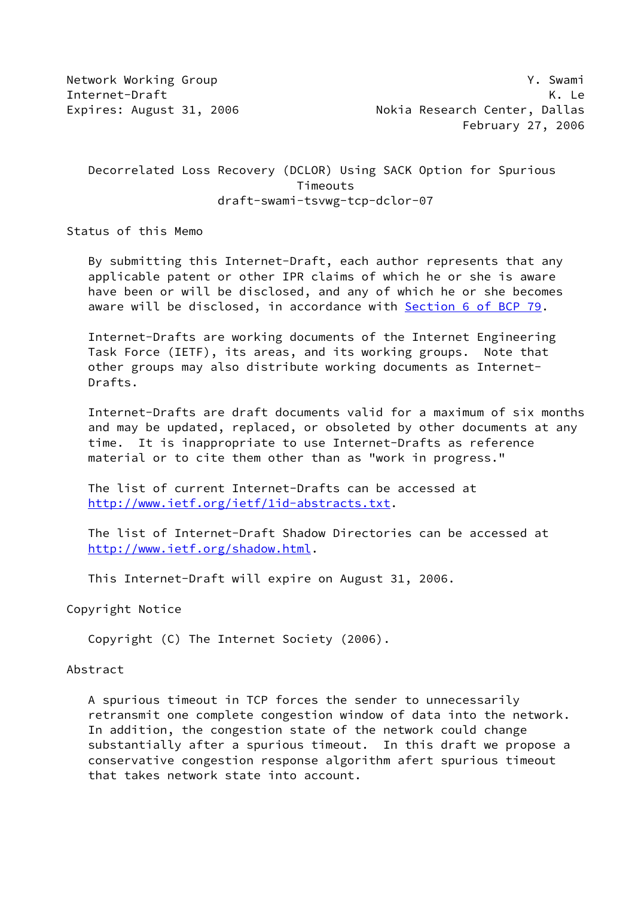Decorrelated Loss Recovery (DCLOR) Using SACK Option for Spurious Timeouts draft-swami-tsvwg-tcp-dclor-07

Status of this Memo

 By submitting this Internet-Draft, each author represents that any applicable patent or other IPR claims of which he or she is aware have been or will be disclosed, and any of which he or she becomes aware will be disclosed, in accordance with **Section [6 of BCP 79.](https://datatracker.ietf.org/doc/pdf/bcp79#section-6)** 

 Internet-Drafts are working documents of the Internet Engineering Task Force (IETF), its areas, and its working groups. Note that other groups may also distribute working documents as Internet- Drafts.

 Internet-Drafts are draft documents valid for a maximum of six months and may be updated, replaced, or obsoleted by other documents at any time. It is inappropriate to use Internet-Drafts as reference material or to cite them other than as "work in progress."

 The list of current Internet-Drafts can be accessed at <http://www.ietf.org/ietf/1id-abstracts.txt>.

 The list of Internet-Draft Shadow Directories can be accessed at <http://www.ietf.org/shadow.html>.

This Internet-Draft will expire on August 31, 2006.

Copyright Notice

Copyright (C) The Internet Society (2006).

#### Abstract

 A spurious timeout in TCP forces the sender to unnecessarily retransmit one complete congestion window of data into the network. In addition, the congestion state of the network could change substantially after a spurious timeout. In this draft we propose a conservative congestion response algorithm afert spurious timeout that takes network state into account.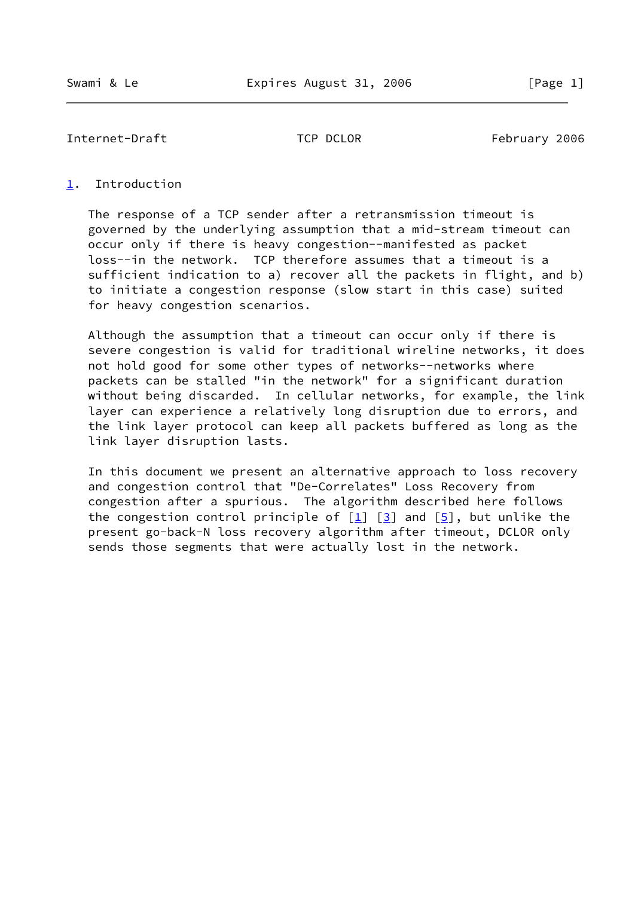### <span id="page-1-0"></span>[1](#page-1-0). Introduction

 The response of a TCP sender after a retransmission timeout is governed by the underlying assumption that a mid-stream timeout can occur only if there is heavy congestion--manifested as packet loss--in the network. TCP therefore assumes that a timeout is a sufficient indication to a) recover all the packets in flight, and b) to initiate a congestion response (slow start in this case) suited for heavy congestion scenarios.

 Although the assumption that a timeout can occur only if there is severe congestion is valid for traditional wireline networks, it does not hold good for some other types of networks--networks where packets can be stalled "in the network" for a significant duration without being discarded. In cellular networks, for example, the link layer can experience a relatively long disruption due to errors, and the link layer protocol can keep all packets buffered as long as the link layer disruption lasts.

 In this document we present an alternative approach to loss recovery and congestion control that "De-Correlates" Loss Recovery from congestion after a spurious. The algorithm described here follows the congestion control principle of  $[1]$  $[1]$   $[3]$  $[3]$  and  $[5]$  $[5]$ , but unlike the present go-back-N loss recovery algorithm after timeout, DCLOR only sends those segments that were actually lost in the network.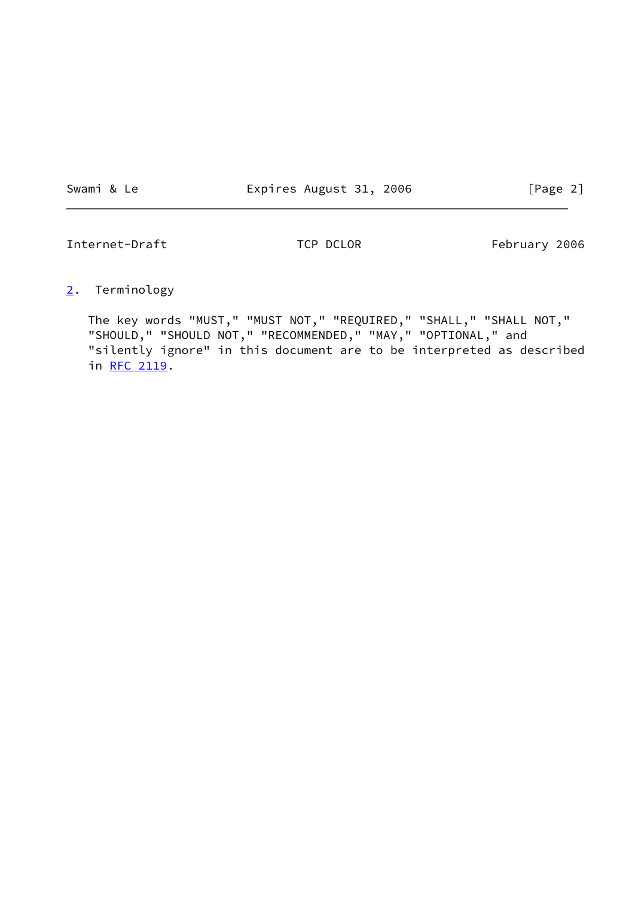Swami & Le **Expires August 31, 2006** [Page 2]

Internet-Draft TCP DCLOR February 2006

<span id="page-2-0"></span>[2](#page-2-0). Terminology

 The key words "MUST," "MUST NOT," "REQUIRED," "SHALL," "SHALL NOT," "SHOULD," "SHOULD NOT," "RECOMMENDED," "MAY," "OPTIONAL," and "silently ignore" in this document are to be interpreted as described in [RFC 2119.](https://datatracker.ietf.org/doc/pdf/rfc2119)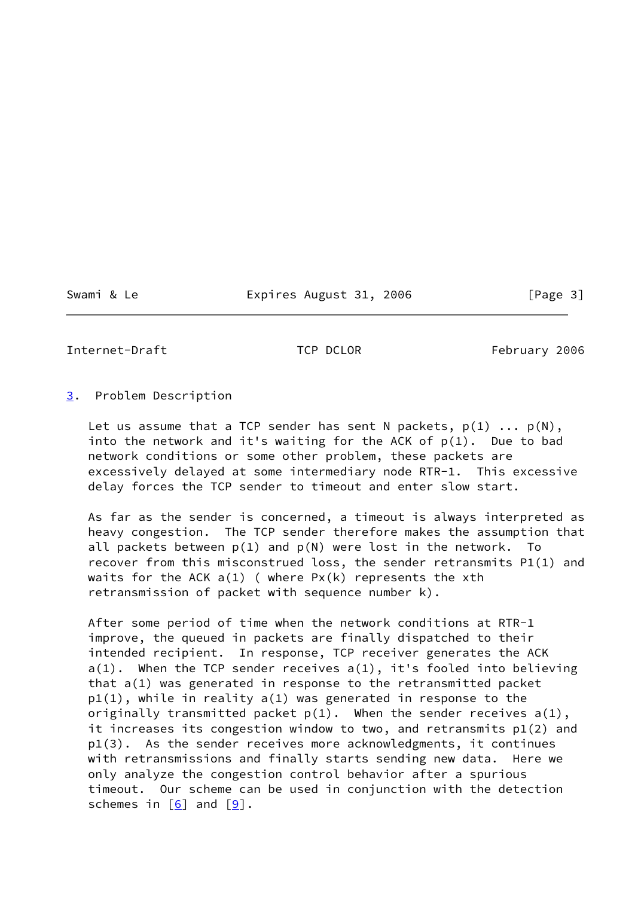Swami & Le Expires August 31, 2006 [Page 3]

Internet-Draft TCP DCLOR February 2006

## <span id="page-3-0"></span>[3](#page-3-0). Problem Description

Let us assume that a TCP sender has sent N packets,  $p(1)$  ...  $p(N)$ , into the network and it's waiting for the ACK of  $p(1)$ . Due to bad network conditions or some other problem, these packets are excessively delayed at some intermediary node RTR-1. This excessive delay forces the TCP sender to timeout and enter slow start.

 As far as the sender is concerned, a timeout is always interpreted as heavy congestion. The TCP sender therefore makes the assumption that all packets between  $p(1)$  and  $p(N)$  were lost in the network. To recover from this misconstrued loss, the sender retransmits P1(1) and waits for the ACK  $a(1)$  (where  $Px(k)$  represents the xth retransmission of packet with sequence number k).

 After some period of time when the network conditions at RTR-1 improve, the queued in packets are finally dispatched to their intended recipient. In response, TCP receiver generates the ACK a(1). When the TCP sender receives a(1), it's fooled into believing that a(1) was generated in response to the retransmitted packet p1(1), while in reality a(1) was generated in response to the originally transmitted packet  $p(1)$ . When the sender receives  $a(1)$ , it increases its congestion window to two, and retransmits p1(2) and p1(3). As the sender receives more acknowledgments, it continues with retransmissions and finally starts sending new data. Here we only analyze the congestion control behavior after a spurious timeout. Our scheme can be used in conjunction with the detection schemes in  $[6]$  $[6]$  and  $[9]$  $[9]$ .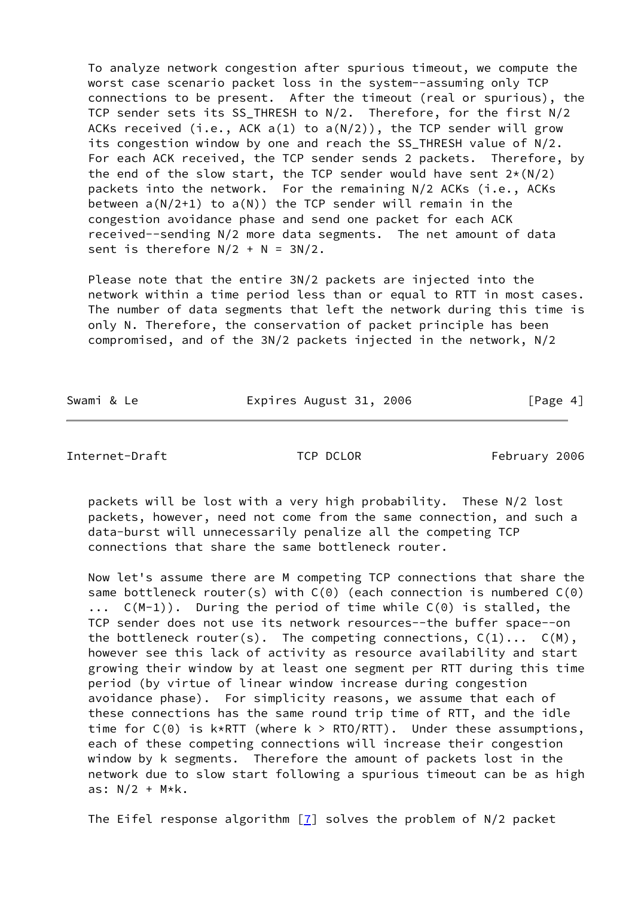To analyze network congestion after spurious timeout, we compute the worst case scenario packet loss in the system--assuming only TCP connections to be present. After the timeout (real or spurious), the TCP sender sets its SS\_THRESH to N/2. Therefore, for the first N/2 ACKs received (i.e., ACK  $a(1)$  to  $a(N/2)$ ), the TCP sender will grow its congestion window by one and reach the SS THRESH value of N/2. For each ACK received, the TCP sender sends 2 packets. Therefore, by the end of the slow start, the TCP sender would have sent  $2*(N/2)$  packets into the network. For the remaining N/2 ACKs (i.e., ACKs between  $a(N/2+1)$  to  $a(N)$ ) the TCP sender will remain in the congestion avoidance phase and send one packet for each ACK received--sending N/2 more data segments. The net amount of data sent is therefore  $N/2 + N = 3N/2$ .

 Please note that the entire 3N/2 packets are injected into the network within a time period less than or equal to RTT in most cases. The number of data segments that left the network during this time is only N. Therefore, the conservation of packet principle has been compromised, and of the 3N/2 packets injected in the network, N/2

Swami & Le **Expires August 31, 2006** [Page 4]

Internet-Draft TCP DCLOR February 2006

 packets will be lost with a very high probability. These N/2 lost packets, however, need not come from the same connection, and such a data-burst will unnecessarily penalize all the competing TCP connections that share the same bottleneck router.

 Now let's assume there are M competing TCP connections that share the same bottleneck router(s) with  $C(\theta)$  (each connection is numbered  $C(\theta)$  ... C(M-1)). During the period of time while C(0) is stalled, the TCP sender does not use its network resources--the buffer space--on the bottleneck router(s). The competing connections,  $C(1) \ldots C(M)$ , however see this lack of activity as resource availability and start growing their window by at least one segment per RTT during this time period (by virtue of linear window increase during congestion avoidance phase). For simplicity reasons, we assume that each of these connections has the same round trip time of RTT, and the idle time for  $C(0)$  is  $k*RTT$  (where  $k > RTO/RTT$ ). Under these assumptions, each of these competing connections will increase their congestion window by k segments. Therefore the amount of packets lost in the network due to slow start following a spurious timeout can be as high as:  $N/2$  +  $M*k$ .

The Eifel response algorithm  $[7]$  solves the problem of N/2 packet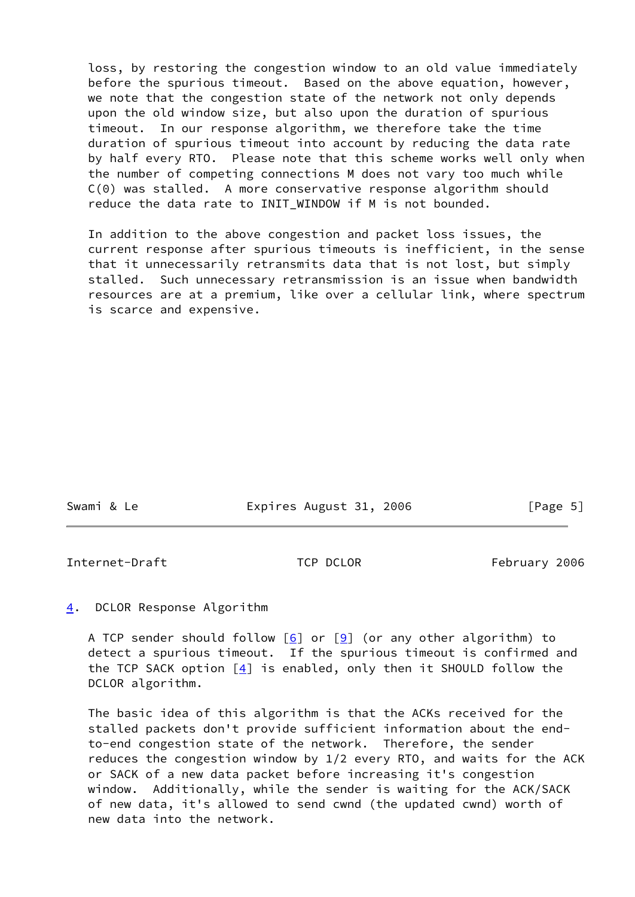loss, by restoring the congestion window to an old value immediately before the spurious timeout. Based on the above equation, however, we note that the congestion state of the network not only depends upon the old window size, but also upon the duration of spurious timeout. In our response algorithm, we therefore take the time duration of spurious timeout into account by reducing the data rate by half every RTO. Please note that this scheme works well only when the number of competing connections M does not vary too much while C(0) was stalled. A more conservative response algorithm should reduce the data rate to INIT WINDOW if M is not bounded.

 In addition to the above congestion and packet loss issues, the current response after spurious timeouts is inefficient, in the sense that it unnecessarily retransmits data that is not lost, but simply stalled. Such unnecessary retransmission is an issue when bandwidth resources are at a premium, like over a cellular link, where spectrum is scarce and expensive.

| Swami & Le | Expires August 31, 2006 | [Page 5] |
|------------|-------------------------|----------|
|            |                         |          |

Internet-Draft TCP DCLOR February 2006

<span id="page-5-0"></span>[4](#page-5-0). DCLOR Response Algorithm

A TCP sender should follow  $[6]$  $[6]$  or  $[9]$  $[9]$  (or any other algorithm) to detect a spurious timeout. If the spurious timeout is confirmed and the TCP SACK option  $[4]$  $[4]$  is enabled, only then it SHOULD follow the DCLOR algorithm.

 The basic idea of this algorithm is that the ACKs received for the stalled packets don't provide sufficient information about the end to-end congestion state of the network. Therefore, the sender reduces the congestion window by 1/2 every RTO, and waits for the ACK or SACK of a new data packet before increasing it's congestion window. Additionally, while the sender is waiting for the ACK/SACK of new data, it's allowed to send cwnd (the updated cwnd) worth of new data into the network.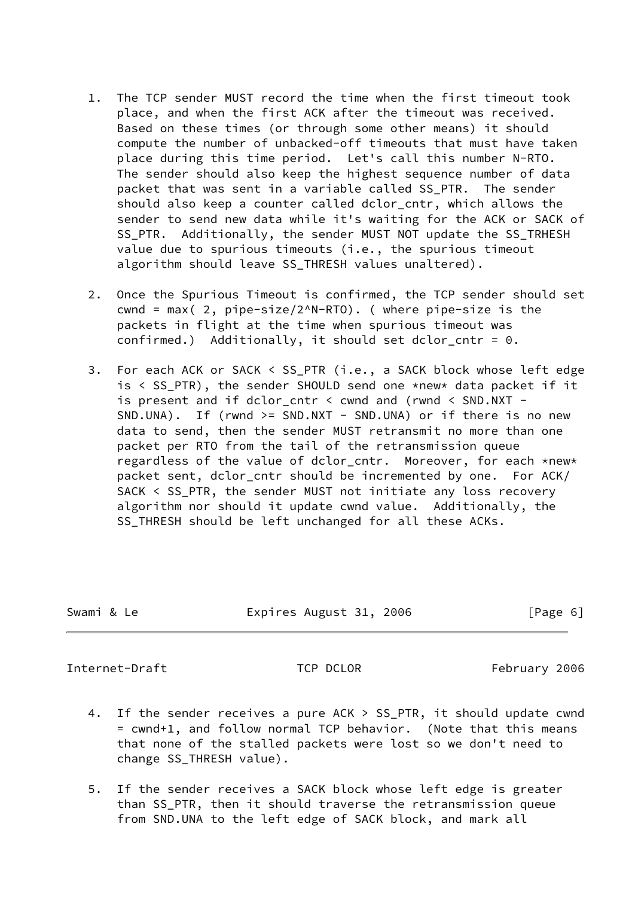- 1. The TCP sender MUST record the time when the first timeout took place, and when the first ACK after the timeout was received. Based on these times (or through some other means) it should compute the number of unbacked-off timeouts that must have taken place during this time period. Let's call this number N-RTO. The sender should also keep the highest sequence number of data packet that was sent in a variable called SS\_PTR. The sender should also keep a counter called dclor\_cntr, which allows the sender to send new data while it's waiting for the ACK or SACK of SS\_PTR. Additionally, the sender MUST NOT update the SS\_TRHESH value due to spurious timeouts (i.e., the spurious timeout algorithm should leave SS\_THRESH values unaltered).
- 2. Once the Spurious Timeout is confirmed, the TCP sender should set cwnd = max( 2, pipe-size/2^N-RTO). ( where pipe-size is the packets in flight at the time when spurious timeout was confirmed.) Additionally, it should set dclor cntr =  $0$ .
- 3. For each ACK or SACK < SS\_PTR (i.e., a SACK block whose left edge is < SS\_PTR), the sender SHOULD send one \*new\* data packet if it is present and if dclor\_cntr < cwnd and (rwnd < SND.NXT - SND.UNA). If (rwnd >= SND.NXT - SND.UNA) or if there is no new data to send, then the sender MUST retransmit no more than one packet per RTO from the tail of the retransmission queue regardless of the value of dclor\_cntr. Moreover, for each \*new\* packet sent, dclor\_cntr should be incremented by one. For ACK/ SACK < SS\_PTR, the sender MUST not initiate any loss recovery algorithm nor should it update cwnd value. Additionally, the SS\_THRESH should be left unchanged for all these ACKs.

| Swami & Le | Expires August 31, 2006 | [Page 6] |
|------------|-------------------------|----------|
|            |                         |          |

- 4. If the sender receives a pure ACK > SS\_PTR, it should update cwnd = cwnd+1, and follow normal TCP behavior. (Note that this means that none of the stalled packets were lost so we don't need to change SS\_THRESH value).
- 5. If the sender receives a SACK block whose left edge is greater than SS\_PTR, then it should traverse the retransmission queue from SND.UNA to the left edge of SACK block, and mark all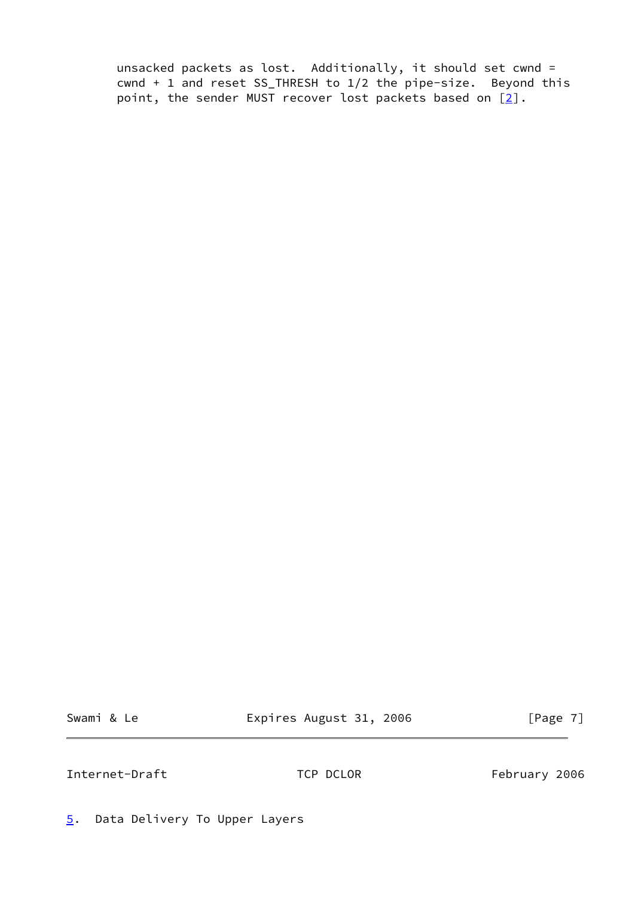unsacked packets as lost. Additionally, it should set cwnd = cwnd + 1 and reset SS\_THRESH to 1/2 the pipe-size. Beyond this point, the sender MUST recover lost packets based on  $[2]$ .

Swami & Le **Expires August 31, 2006** [Page 7]

Internet-Draft TCP DCLOR February 2006

<span id="page-7-0"></span>[5](#page-7-0). Data Delivery To Upper Layers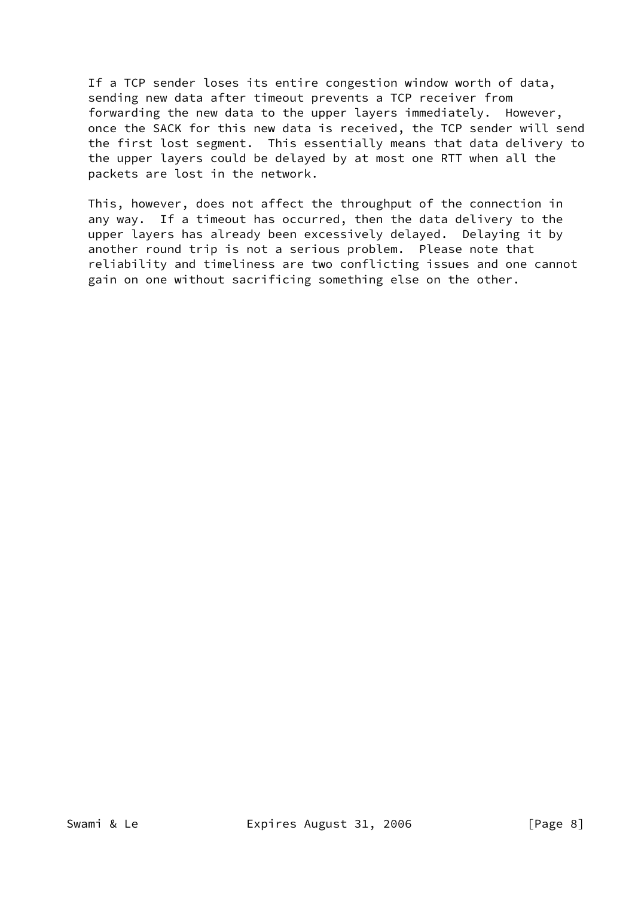If a TCP sender loses its entire congestion window worth of data, sending new data after timeout prevents a TCP receiver from forwarding the new data to the upper layers immediately. However, once the SACK for this new data is received, the TCP sender will send the first lost segment. This essentially means that data delivery to the upper layers could be delayed by at most one RTT when all the packets are lost in the network.

 This, however, does not affect the throughput of the connection in any way. If a timeout has occurred, then the data delivery to the upper layers has already been excessively delayed. Delaying it by another round trip is not a serious problem. Please note that reliability and timeliness are two conflicting issues and one cannot gain on one without sacrificing something else on the other.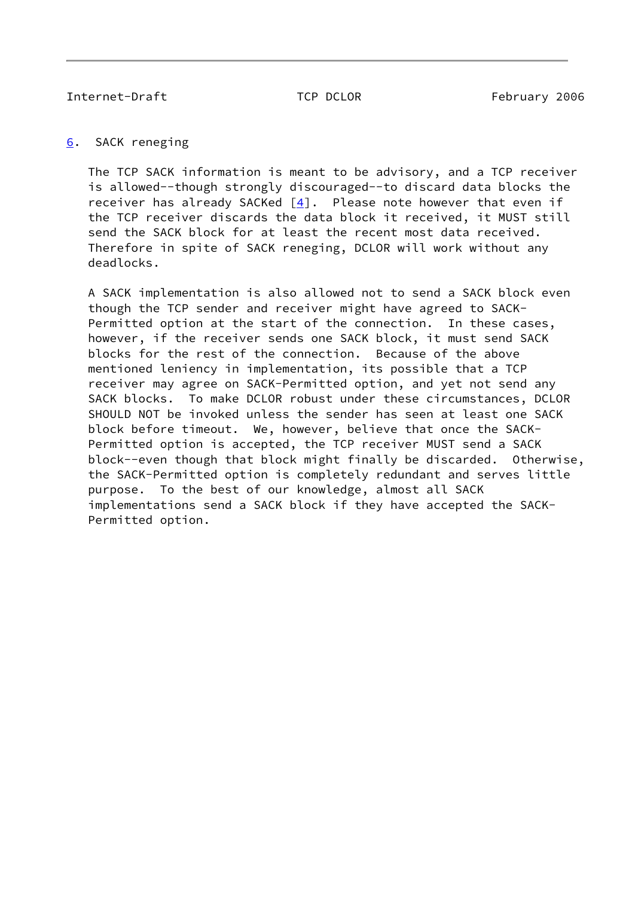# <span id="page-9-0"></span>[6](#page-9-0). SACK reneging

 The TCP SACK information is meant to be advisory, and a TCP receiver is allowed--though strongly discouraged--to discard data blocks the receiver has already SACKed  $[4]$  $[4]$ . Please note however that even if the TCP receiver discards the data block it received, it MUST still send the SACK block for at least the recent most data received. Therefore in spite of SACK reneging, DCLOR will work without any deadlocks.

 A SACK implementation is also allowed not to send a SACK block even though the TCP sender and receiver might have agreed to SACK- Permitted option at the start of the connection. In these cases, however, if the receiver sends one SACK block, it must send SACK blocks for the rest of the connection. Because of the above mentioned leniency in implementation, its possible that a TCP receiver may agree on SACK-Permitted option, and yet not send any SACK blocks. To make DCLOR robust under these circumstances, DCLOR SHOULD NOT be invoked unless the sender has seen at least one SACK block before timeout. We, however, believe that once the SACK- Permitted option is accepted, the TCP receiver MUST send a SACK block--even though that block might finally be discarded. Otherwise, the SACK-Permitted option is completely redundant and serves little purpose. To the best of our knowledge, almost all SACK implementations send a SACK block if they have accepted the SACK- Permitted option.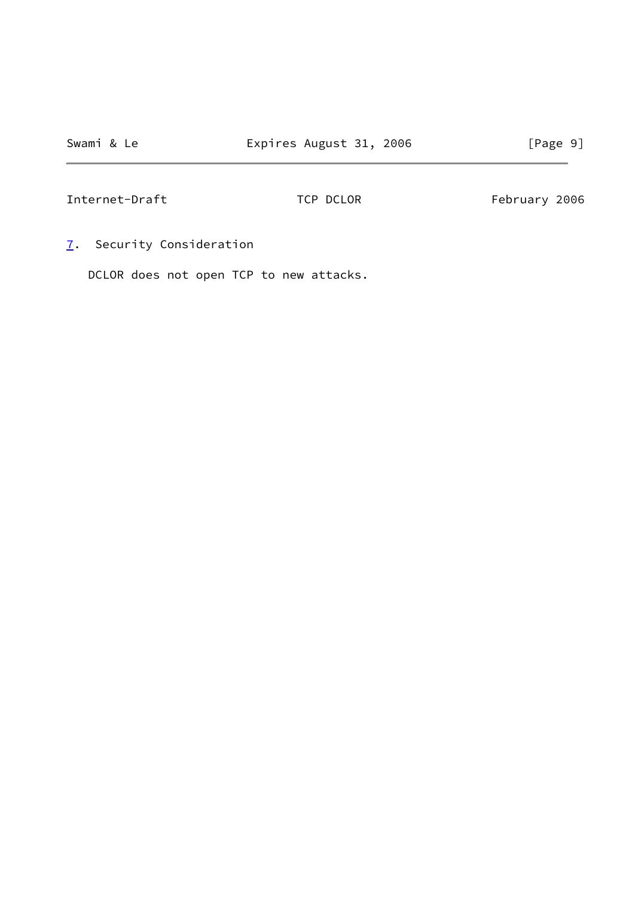<span id="page-10-0"></span>[7](#page-10-0). Security Consideration

DCLOR does not open TCP to new attacks.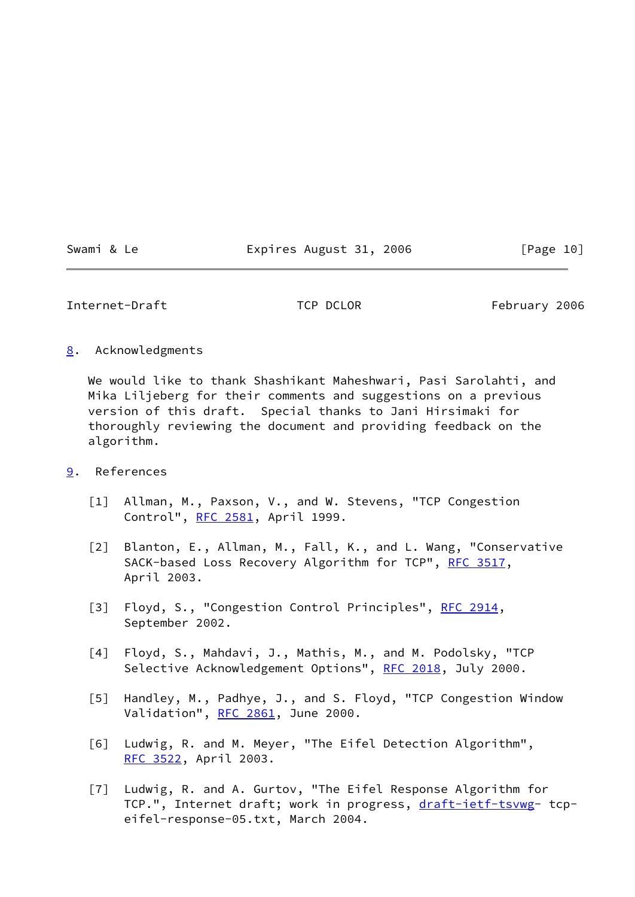Swami & Le **Expires August 31, 2006** [Page 10]

Internet-Draft TCP DCLOR February 2006

<span id="page-11-7"></span>[8](#page-11-7). Acknowledgments

 We would like to thank Shashikant Maheshwari, Pasi Sarolahti, and Mika Liljeberg for their comments and suggestions on a previous version of this draft. Special thanks to Jani Hirsimaki for thoroughly reviewing the document and providing feedback on the algorithm.

- <span id="page-11-8"></span><span id="page-11-6"></span><span id="page-11-5"></span><span id="page-11-4"></span><span id="page-11-3"></span><span id="page-11-2"></span><span id="page-11-1"></span><span id="page-11-0"></span>[9](#page-11-8). References
	- [1] Allman, M., Paxson, V., and W. Stevens, "TCP Congestion Control", [RFC 2581,](https://datatracker.ietf.org/doc/pdf/rfc2581) April 1999.
	- [2] Blanton, E., Allman, M., Fall, K., and L. Wang, "Conservative SACK-based Loss Recovery Algorithm for TCP", [RFC 3517](https://datatracker.ietf.org/doc/pdf/rfc3517), April 2003.
	- [3] Floyd, S., "Congestion Control Principles", [RFC 2914](https://datatracker.ietf.org/doc/pdf/rfc2914), September 2002.
	- [4] Floyd, S., Mahdavi, J., Mathis, M., and M. Podolsky, "TCP Selective Acknowledgement Options", [RFC 2018](https://datatracker.ietf.org/doc/pdf/rfc2018), July 2000.
	- [5] Handley, M., Padhye, J., and S. Floyd, "TCP Congestion Window Validation", [RFC 2861](https://datatracker.ietf.org/doc/pdf/rfc2861), June 2000.
	- [6] Ludwig, R. and M. Meyer, "The Eifel Detection Algorithm", [RFC 3522](https://datatracker.ietf.org/doc/pdf/rfc3522), April 2003.
	- [7] Ludwig, R. and A. Gurtov, "The Eifel Response Algorithm for TCP.", Internet draft; work in progress, [draft-ietf-tsvwg](https://datatracker.ietf.org/doc/pdf/draft-ietf-tsvwg)- tcpeifel-response-05.txt, March 2004.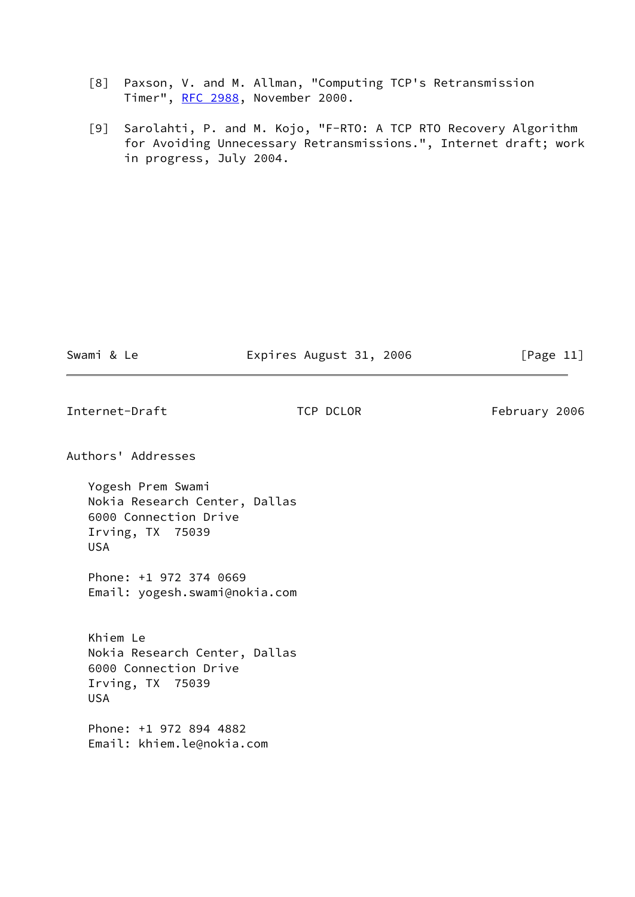- [8] Paxson, V. and M. Allman, "Computing TCP's Retransmission Timer", [RFC 2988](https://datatracker.ietf.org/doc/pdf/rfc2988), November 2000.
- <span id="page-12-0"></span> [9] Sarolahti, P. and M. Kojo, "F-RTO: A TCP RTO Recovery Algorithm for Avoiding Unnecessary Retransmissions.", Internet draft; work in progress, July 2004.

Swami & Le **Expires August 31, 2006** [Page 11]

Internet-Draft TCP DCLOR February 2006

Authors' Addresses

 Yogesh Prem Swami Nokia Research Center, Dallas 6000 Connection Drive Irving, TX 75039 USA

 Phone: +1 972 374 0669 Email: yogesh.swami@nokia.com

 Khiem Le Nokia Research Center, Dallas 6000 Connection Drive Irving, TX 75039 USA

 Phone: +1 972 894 4882 Email: khiem.le@nokia.com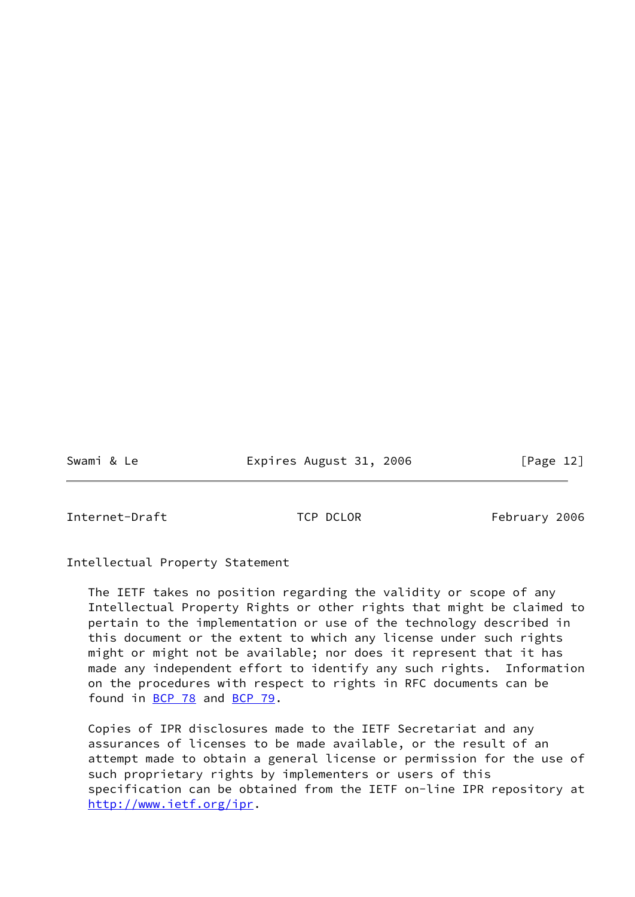Swami & Le **Expires August 31, 2006** [Page 12]

Internet-Draft TCP DCLOR February 2006

Intellectual Property Statement

 The IETF takes no position regarding the validity or scope of any Intellectual Property Rights or other rights that might be claimed to pertain to the implementation or use of the technology described in this document or the extent to which any license under such rights might or might not be available; nor does it represent that it has made any independent effort to identify any such rights. Information on the procedures with respect to rights in RFC documents can be found in [BCP 78](https://datatracker.ietf.org/doc/pdf/bcp78) and [BCP 79](https://datatracker.ietf.org/doc/pdf/bcp79).

 Copies of IPR disclosures made to the IETF Secretariat and any assurances of licenses to be made available, or the result of an attempt made to obtain a general license or permission for the use of such proprietary rights by implementers or users of this specification can be obtained from the IETF on-line IPR repository at <http://www.ietf.org/ipr>.